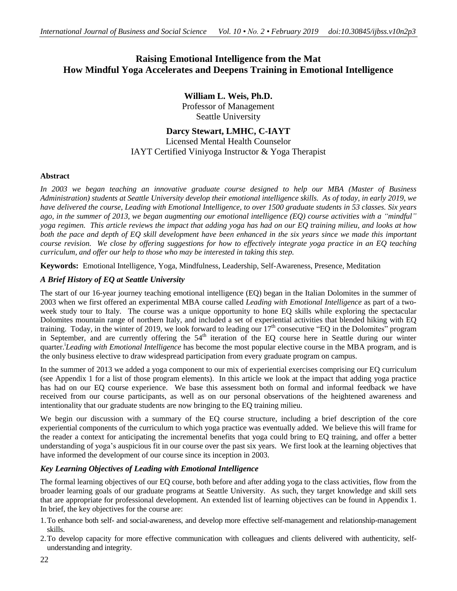# **Raising Emotional Intelligence from the Mat How Mindful Yoga Accelerates and Deepens Training in Emotional Intelligence**

**William L. Weis, Ph.D.** Professor of Management Seattle University

# **Darcy Stewart, LMHC, C-IAYT**

## Licensed Mental Health Counselor IAYT Certified Viniyoga Instructor & Yoga Therapist

## **Abstract**

*In 2003 we began teaching an innovative graduate course designed to help our MBA (Master of Business* Administration) students at Seattle University develop their emotional intelligence skills. As of today, in early 2019, we have delivered the course, Leading with Emotional Intelligence, to over 1500 graduate students in 53 classes. Six years ago, in the summer of 2013, we began augmenting our emotional intelligence  $(EO)$  course activities with a "mindful" yoga regimen. This article reviews the impact that adding yoga has had on our EQ training milieu, and looks at how both the pace and depth of EQ skill development have been enhanced in the six years since we made this important course revision. We close by offering suggestions for how to effectively integrate yoga practice in an EO teaching *curriculum, and offer our help to those who may be interested in taking this step.*

**Keywords:** Emotional Intelligence, Yoga, Mindfulness, Leadership, Self-Awareness, Presence, Meditation

## *A Brief History of EQ at Seattle University*

The start of our 16-year journey teaching emotional intelligence (EQ) began in the Italian Dolomites in the summer of 2003 when we first offered an experimental MBA course called *Leading with Emotional Intelligence* as part of a twoweek study tour to Italy. The course was a unique opportunity to hone EQ skills while exploring the spectacular Dolomites mountain range of northern Italy, and included a set of experiential activities that blended hiking with EQ training. Today, in the winter of 2019, we look forward to leading our  $17<sup>th</sup>$  consecutive "EQ in the Dolomites" program in September, and are currently offering the 54<sup>th</sup> iteration of the EQ course here in Seattle during our winter quarter.<sup>i</sup> *Leading with Emotional Intelligence* has become the most popular elective course in the MBA program, and is the only business elective to draw widespread participation from every graduate program on campus.

In the summer of 2013 we added a yoga component to our mix of experiential exercises comprising our EQ curriculum (see Appendix 1 for a list of those program elements). In this article we look at the impact that adding yoga practice has had on our EQ course experience. We base this assessment both on formal and informal feedback we have received from our course participants, as well as on our personal observations of the heightened awareness and intentionality that our graduate students are now bringing to the EQ training milieu.

We begin our discussion with a summary of the EQ course structure, including a brief description of the core experiential components of the curriculum to which yoga practice was eventually added. We believe this will frame for the reader a context for anticipating the incremental benefits that yoga could bring to EQ training, and offer a better understanding of yoga's auspicious fit in our course over the past six years. We first look at the learning objectives that have informed the development of our course since its inception in 2003.

## *Key Learning Objectives of Leading with Emotional Intelligence*

The formal learning objectives of our EQ course, both before and after adding yoga to the class activities, flow from the broader learning goals of our graduate programs at Seattle University. As such, they target knowledge and skill sets that are appropriate for professional development. An extended list of learning objectives can be found in Appendix 1. In brief, the key objectives for the course are:

- 1.To enhance both self- and social-awareness, and develop more effective self-management and relationship-management skills.
- 2.To develop capacity for more effective communication with colleagues and clients delivered with authenticity, selfunderstanding and integrity.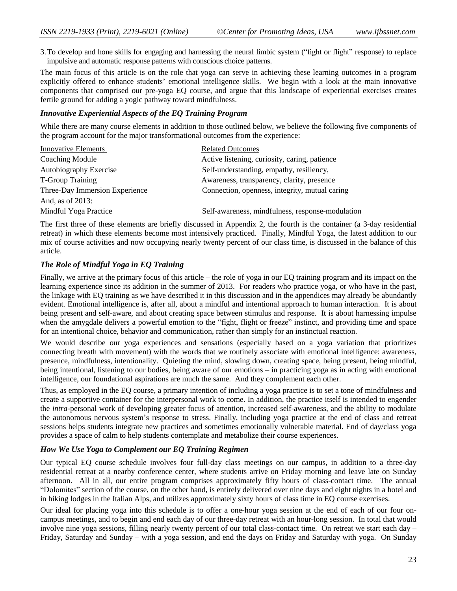3.To develop and hone skills for engaging and harnessing the neural limbic system ("fight or flight" response) to replace impulsive and automatic response patterns with conscious choice patterns.

The main focus of this article is on the role that yoga can serve in achieving these learning outcomes in a program explicitly offered to enhance students' emotional intelligence skills. We begin with a look at the main innovative components that comprised our pre-yoga EQ course, and argue that this landscape of experiential exercises creates fertile ground for adding a yogic pathway toward mindfulness.

## *Innovative Experiential Aspects of the EQ Training Program*

While there are many course elements in addition to those outlined below, we believe the following five components of the program account for the major transformational outcomes from the experience:

| <b>Related Outcomes</b>                        |
|------------------------------------------------|
| Active listening, curiosity, caring, patience  |
| Self-understanding, empathy, resiliency,       |
| Awareness, transparency, clarity, presence     |
| Connection, openness, integrity, mutual caring |
|                                                |
|                                                |

The first three of these elements are briefly discussed in Appendix 2, the fourth is the container (a 3-day residential retreat) in which these elements become most intensively practiced. Finally, Mindful Yoga, the latest addition to our mix of course activities and now occupying nearly twenty percent of our class time, is discussed in the balance of this article.

## *The Role of Mindful Yoga in EQ Training*

Finally, we arrive at the primary focus of this article – the role of yoga in our EQ training program and its impact on the learning experience since its addition in the summer of 2013. For readers who practice yoga, or who have in the past, the linkage with EQ training as we have described it in this discussion and in the appendices may already be abundantly evident. Emotional intelligence is, after all, about a mindful and intentional approach to human interaction. It is about being present and self-aware, and about creating space between stimulus and response. It is about harnessing impulse when the amygdale delivers a powerful emotion to the "fight, flight or freeze" instinct, and providing time and space for an intentional choice, behavior and communication, rather than simply for an instinctual reaction.

We would describe our yoga experiences and sensations (especially based on a yoga variation that prioritizes connecting breath with movement) with the words that we routinely associate with emotional intelligence: awareness, presence, mindfulness, intentionality. Quieting the mind, slowing down, creating space, being present, being mindful, being intentional, listening to our bodies, being aware of our emotions – in practicing yoga as in acting with emotional intelligence, our foundational aspirations are much the same. And they complement each other.

Thus, as employed in the EQ course, a primary intention of including a yoga practice is to set a tone of mindfulness and create a supportive container for the interpersonal work to come. In addition, the practice itself is intended to engender the *intra-*personal work of developing greater focus of attention, increased self-awareness, and the ability to modulate the autonomous nervous system's response to stress. Finally, including yoga practice at the end of class and retreat sessions helps students integrate new practices and sometimes emotionally vulnerable material. End of day/class yoga provides a space of calm to help students contemplate and metabolize their course experiences.

## *How We Use Yoga to Complement our EQ Training Regimen*

Our typical EQ course schedule involves four full-day class meetings on our campus, in addition to a three-day residential retreat at a nearby conference center, where students arrive on Friday morning and leave late on Sunday afternoon. All in all, our entire program comprises approximately fifty hours of class-contact time. The annual "Dolomites" section of the course, on the other hand, is entirely delivered over nine days and eight nights in a hotel and in hiking lodges in the Italian Alps, and utilizes approximately sixty hours of class time in EQ course exercises.

Our ideal for placing yoga into this schedule is to offer a one-hour yoga session at the end of each of our four oncampus meetings, and to begin and end each day of our three-day retreat with an hour-long session. In total that would involve nine yoga sessions, filling nearly twenty percent of our total class-contact time. On retreat we start each day – Friday, Saturday and Sunday – with a yoga session, and end the days on Friday and Saturday with yoga. On Sunday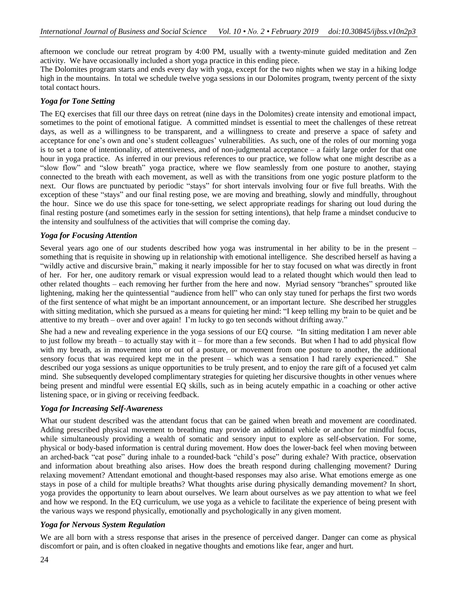afternoon we conclude our retreat program by 4:00 PM, usually with a twenty-minute guided meditation and Zen activity. We have occasionally included a short yoga practice in this ending piece.

The Dolomites program starts and ends every day with yoga, except for the two nights when we stay in a hiking lodge high in the mountains. In total we schedule twelve yoga sessions in our Dolomites program, twenty percent of the sixty total contact hours.

## *Yoga for Tone Setting*

The EQ exercises that fill our three days on retreat (nine days in the Dolomites) create intensity and emotional impact, sometimes to the point of emotional fatigue. A committed mindset is essential to meet the challenges of these retreat days, as well as a willingness to be transparent, and a willingness to create and preserve a space of safety and acceptance for one's own and one's student colleagues' vulnerabilities. As such, one of the roles of our morning yoga is to set a tone of intentionality, of attentiveness, and of non-judgmental acceptance – a fairly large order for that one hour in yoga practice. As inferred in our previous references to our practice, we follow what one might describe as a "slow flow" and "slow breath" yoga practice, where we flow seamlessly from one posture to another, staying connected to the breath with each movement, as well as with the transitions from one yogic posture platform to the next. Our flows are punctuated by periodic "stays" for short intervals involving four or five full breaths. With the exception of these "stays" and our final resting pose, we are moving and breathing, slowly and mindfully, throughout the hour. Since we do use this space for tone-setting, we select appropriate readings for sharing out loud during the final resting posture (and sometimes early in the session for setting intentions), that help frame a mindset conducive to the intensity and soulfulness of the activities that will comprise the coming day.

## *Yoga for Focusing Attention*

Several years ago one of our students described how yoga was instrumental in her ability to be in the present – something that is requisite in showing up in relationship with emotional intelligence. She described herself as having a "wildly active and discursive brain," making it nearly impossible for her to stay focused on what was directly in front of her. For her, one auditory remark or visual expression would lead to a related thought which would then lead to other related thoughts – each removing her further from the here and now. Myriad sensory "branches" sprouted like lightening, making her the quintessential "audience from hell" who can only stay tuned for perhaps the first two words of the first sentence of what might be an important announcement, or an important lecture. She described her struggles with sitting meditation, which she pursued as a means for quieting her mind: "I keep telling my brain to be quiet and be attentive to my breath – over and over again! I'm lucky to go ten seconds without drifting away."

She had a new and revealing experience in the yoga sessions of our EQ course. "In sitting meditation I am never able to just follow my breath – to actually stay with it – for more than a few seconds. But when I had to add physical flow with my breath, as in movement into or out of a posture, or movement from one posture to another, the additional sensory focus that was required kept me in the present – which was a sensation I had rarely experienced." She described our yoga sessions as unique opportunities to be truly present, and to enjoy the rare gift of a focused yet calm mind. She subsequently developed complimentary strategies for quieting her discursive thoughts in other venues where being present and mindful were essential EQ skills, such as in being acutely empathic in a coaching or other active listening space, or in giving or receiving feedback.

## *Yoga for Increasing Self-Awareness*

What our student described was the attendant focus that can be gained when breath and movement are coordinated. Adding prescribed physical movement to breathing may provide an additional vehicle or anchor for mindful focus, while simultaneously providing a wealth of somatic and sensory input to explore as self-observation. For some, physical or body-based information is central during movement. How does the lower-back feel when moving between an arched-back "cat pose" during inhale to a rounded-back "child's pose" during exhale? With practice, observation and information about breathing also arises. How does the breath respond during challenging movement? During relaxing movement? Attendant emotional and thought-based responses may also arise. What emotions emerge as one stays in pose of a child for multiple breaths? What thoughts arise during physically demanding movement? In short, yoga provides the opportunity to learn about ourselves. We learn about ourselves as we pay attention to what we feel and how we respond. In the EQ curriculum, we use yoga as a vehicle to facilitate the experience of being present with the various ways we respond physically, emotionally and psychologically in any given moment.

## *Yoga for Nervous System Regulation*

We are all born with a stress response that arises in the presence of perceived danger. Danger can come as physical discomfort or pain, and is often cloaked in negative thoughts and emotions like fear, anger and hurt.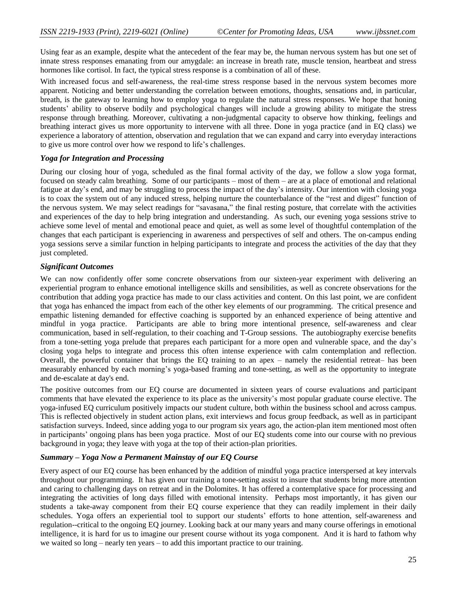Using fear as an example, despite what the antecedent of the fear may be, the human nervous system has but one set of innate stress responses emanating from our amygdale: an increase in breath rate, muscle tension, heartbeat and stress hormones like cortisol. In fact, the typical stress response is a combination of all of these.

With increased focus and self-awareness, the real-time stress response based in the nervous system becomes more apparent. Noticing and better understanding the correlation between emotions, thoughts, sensations and, in particular, breath, is the gateway to learning how to employ yoga to regulate the natural stress responses. We hope that honing students' ability to observe bodily and psychological changes will include a growing ability to mitigate the stress response through breathing. Moreover, cultivating a non-judgmental capacity to observe how thinking, feelings and breathing interact gives us more opportunity to intervene with all three. Done in yoga practice (and in EQ class) we experience a laboratory of attention, observation and regulation that we can expand and carry into everyday interactions to give us more control over how we respond to life's challenges.

#### *Yoga for Integration and Processing*

During our closing hour of yoga, scheduled as the final formal activity of the day, we follow a slow yoga format, focused on steady calm breathing. Some of our participants – most of them – are at a place of emotional and relational fatigue at day's end, and may be struggling to process the impact of the day's intensity. Our intention with closing yoga is to coax the system out of any induced stress, helping nurture the counterbalance of the "rest and digest" function of the nervous system. We may select readings for "savasana," the final resting posture, that correlate with the activities and experiences of the day to help bring integration and understanding. As such, our evening yoga sessions strive to achieve some level of mental and emotional peace and quiet, as well as some level of thoughtful contemplation of the changes that each participant is experiencing in awareness and perspectives of self and others. The on-campus ending yoga sessions serve a similar function in helping participants to integrate and process the activities of the day that they just completed.

#### *Significant Outcomes*

We can now confidently offer some concrete observations from our sixteen-year experiment with delivering an experiential program to enhance emotional intelligence skills and sensibilities, as well as concrete observations for the contribution that adding yoga practice has made to our class activities and content. On this last point, we are confident that yoga has enhanced the impact from each of the other key elements of our programming. The critical presence and empathic listening demanded for effective coaching is supported by an enhanced experience of being attentive and mindful in yoga practice. Participants are able to bring more intentional presence, self-awareness and clear communication, based in self-regulation, to their coaching and T-Group sessions. The autobiography exercise benefits from a tone-setting yoga prelude that prepares each participant for a more open and vulnerable space, and the day's closing yoga helps to integrate and process this often intense experience with calm contemplation and reflection. Overall, the powerful container that brings the EQ training to an apex – namely the residential retreat– has been measurably enhanced by each morning's yoga-based framing and tone-setting, as well as the opportunity to integrate and de-escalate at day's end.

The positive outcomes from our EQ course are documented in sixteen years of course evaluations and participant comments that have elevated the experience to its place as the university's most popular graduate course elective. The yoga-infused EQ curriculum positively impacts our student culture, both within the business school and across campus. This is reflected objectively in student action plans, exit interviews and focus group feedback, as well as in participant satisfaction surveys. Indeed, since adding yoga to our program six years ago, the action-plan item mentioned most often in participants' ongoing plans has been yoga practice. Most of our EQ students come into our course with no previous background in yoga; they leave with yoga at the top of their action-plan priorities.

## *Summary – Yoga Now a Permanent Mainstay of our EQ Course*

Every aspect of our EQ course has been enhanced by the addition of mindful yoga practice interspersed at key intervals throughout our programming. It has given our training a tone-setting assist to insure that students bring more attention and caring to challenging days on retreat and in the Dolomites. It has offered a contemplative space for processing and integrating the activities of long days filled with emotional intensity. Perhaps most importantly, it has given our students a take-away component from their EQ course experience that they can readily implement in their daily schedules. Yoga offers an experiential tool to support our students' efforts to hone attention, self-awareness and regulation--critical to the ongoing EQ journey. Looking back at our many years and many course offerings in emotional intelligence, it is hard for us to imagine our present course without its yoga component. And it is hard to fathom why we waited so long – nearly ten years – to add this important practice to our training.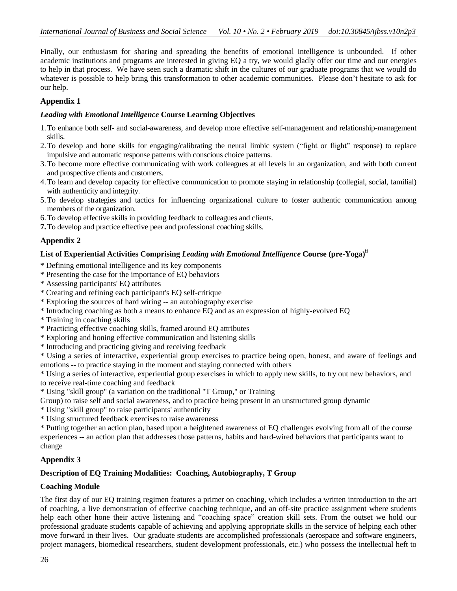Finally, our enthusiasm for sharing and spreading the benefits of emotional intelligence is unbounded. If other academic institutions and programs are interested in giving EQ a try, we would gladly offer our time and our energies to help in that process. We have seen such a dramatic shift in the cultures of our graduate programs that we would do whatever is possible to help bring this transformation to other academic communities. Please don't hesitate to ask for our help.

## **Appendix 1**

#### *Leading with Emotional Intelligence* **Course Learning Objectives**

- 1.To enhance both self- and social-awareness, and develop more effective self-management and relationship-management skills.
- 2.To develop and hone skills for engaging/calibrating the neural limbic system ("fight or flight" response) to replace impulsive and automatic response patterns with conscious choice patterns.
- 3.To become more effective communicating with work colleagues at all levels in an organization, and with both current and prospective clients and customers.
- 4.To learn and develop capacity for effective communication to promote staying in relationship (collegial, social, familial) with authenticity and integrity.
- 5.To develop strategies and tactics for influencing organizational culture to foster authentic communication among members of the organization.
- 6.To develop effective skills in providing feedback to colleagues and clients.
- **7.**To develop and practice effective peer and professional coaching skills.

## **Appendix 2**

## **List of Experiential Activities Comprising** *Leading with Emotional Intelligence* **Course (pre-Yoga)ii**

- \* Defining emotional intelligence and its key components
- \* Presenting the case for the importance of EQ behaviors
- \* Assessing participants' EQ attributes
- \* Creating and refining each participant's EQ self-critique
- \* Exploring the sources of hard wiring -- an autobiography exercise
- \* Introducing coaching as both a means to enhance EQ and as an expression of highly-evolved EQ
- \* Training in coaching skills
- \* Practicing effective coaching skills, framed around EQ attributes
- \* Exploring and honing effective communication and listening skills
- \* Introducing and practicing giving and receiving feedback
- \* Using a series of interactive, experiential group exercises to practice being open, honest, and aware of feelings and emotions -- to practice staying in the moment and staying connected with others

\* Using a series of interactive, experiential group exercises in which to apply new skills, to try out new behaviors, and to receive real-time coaching and feedback

\* Using "skill group" (a variation on the traditional "T Group," or Training

Group) to raise self and social awareness, and to practice being present in an unstructured group dynamic

- \* Using "skill group" to raise participants' authenticity
- \* Using structured feedback exercises to raise awareness

\* Putting together an action plan, based upon a heightened awareness of EQ challenges evolving from all of the course experiences -- an action plan that addresses those patterns, habits and hard-wired behaviors that participants want to change

## **Appendix 3**

## **Description of EQ Training Modalities: Coaching, Autobiography, T Group**

## **Coaching Module**

The first day of our EQ training regimen features a primer on coaching, which includes a written introduction to the art of coaching, a live demonstration of effective coaching technique, and an off-site practice assignment where students help each other hone their active listening and "coaching space" creation skill sets. From the outset we hold our professional graduate students capable of achieving and applying appropriate skills in the service of helping each other move forward in their lives. Our graduate students are accomplished professionals (aerospace and software engineers, project managers, biomedical researchers, student development professionals, etc.) who possess the intellectual heft to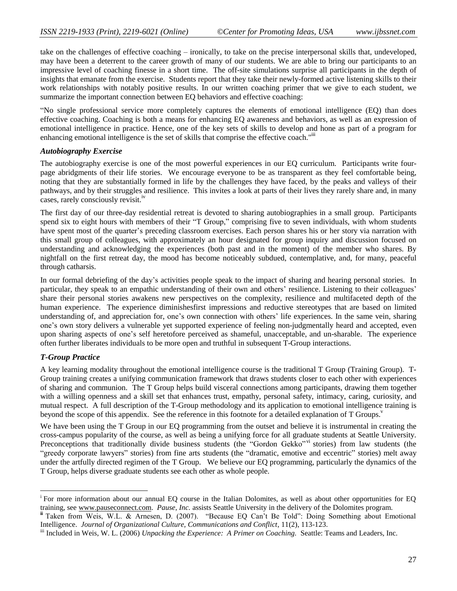take on the challenges of effective coaching – ironically, to take on the precise interpersonal skills that, undeveloped, may have been a deterrent to the career growth of many of our students. We are able to bring our participants to an impressive level of coaching finesse in a short time. The off-site simulations surprise all participants in the depth of insights that emanate from the exercise. Students report that they take their newly-formed active listening skills to their work relationships with notably positive results. In our written coaching primer that we give to each student, we summarize the important connection between EQ behaviors and effective coaching:

"No single professional service more completely captures the elements of emotional intelligence (EQ) than does effective coaching. Coaching is both a means for enhancing EQ awareness and behaviors, as well as an expression of emotional intelligence in practice. Hence, one of the key sets of skills to develop and hone as part of a program for enhancing emotional intelligence is the set of skills that comprise the effective coach."

#### *Autobiography Exercise*

The autobiography exercise is one of the most powerful experiences in our EQ curriculum. Participants write fourpage abridgments of their life stories. We encourage everyone to be as transparent as they feel comfortable being, noting that they are substantially formed in life by the challenges they have faced, by the peaks and valleys of their pathways, and by their struggles and resilience. This invites a look at parts of their lives they rarely share and, in many cases, rarely consciously revisit.<sup>iv</sup>

The first day of our three-day residential retreat is devoted to sharing autobiographies in a small group. Participants spend six to eight hours with members of their "T Group," comprising five to seven individuals, with whom students have spent most of the quarter's preceding classroom exercises. Each person shares his or her story via narration with this small group of colleagues, with approximately an hour designated for group inquiry and discussion focused on understanding and acknowledging the experiences (both past and in the moment) of the member who shares. By nightfall on the first retreat day, the mood has become noticeably subdued, contemplative, and, for many, peaceful through catharsis.

In our formal debriefing of the day's activities people speak to the impact of sharing and hearing personal stories. In particular, they speak to an empathic understanding of their own and others' resilience. Listening to their colleagues' share their personal stories awakens new perspectives on the complexity, resilience and multifaceted depth of the human experience. The experience diminishesfirst impressions and reductive stereotypes that are based on limited understanding of, and appreciation for, one's own connection with others' life experiences. In the same vein, sharing one's own story delivers a vulnerable yet supported experience of feeling non-judgmentally heard and accepted, even upon sharing aspects of one's self heretofore perceived as shameful, unacceptable, and un-sharable. The experience often further liberates individuals to be more open and truthful in subsequent T-Group interactions.

## *T-Group Practice*

 $\overline{\phantom{a}}$ 

A key learning modality throughout the emotional intelligence course is the traditional T Group (Training Group). T-Group training creates a unifying communication framework that draws students closer to each other with experiences of sharing and communion. The T Group helps build visceral connections among participants, drawing them together with a willing openness and a skill set that enhances trust, empathy, personal safety, intimacy, caring, curiosity, and mutual respect. A full description of the T-Group methodology and its application to emotional intelligence training is beyond the scope of this appendix. See the reference in this footnote for a detailed explanation of T Groups.<sup>v</sup>

We have been using the T Group in our EQ programming from the outset and believe it is instrumental in creating the cross-campus popularity of the course, as well as being a unifying force for all graduate students at Seattle University. Preconceptions that traditionally divide business students (the "Gordon Gekko" vi stories) from law students (the "greedy corporate lawyers" stories) from fine arts students (the "dramatic, emotive and eccentric" stories) melt away under the artfully directed regimen of the T Group. We believe our EQ programming, particularly the dynamics of the T Group, helps diverse graduate students see each other as whole people.

<sup>&</sup>lt;sup>i</sup> For more information about our annual EQ course in the Italian Dolomites, as well as about other opportunities for EQ training, see [www.pauseconnect.com.](http://www.pauseconnect.com/) *Pause, Inc.* assists Seattle University in the delivery of the Dolomites program.

**ii** Taken from Weis, W.L. & Arnesen, D. (2007). "Because EQ Can't Be Told": Doing Something about Emotional Intelligence. *Journal of Organizational Culture, Communications and Conflict*, 11(2), 113-123.

iii Included in Weis, W. L. (2006) *Unpacking the Experience: A Primer on Coaching*. Seattle: Teams and Leaders, Inc.